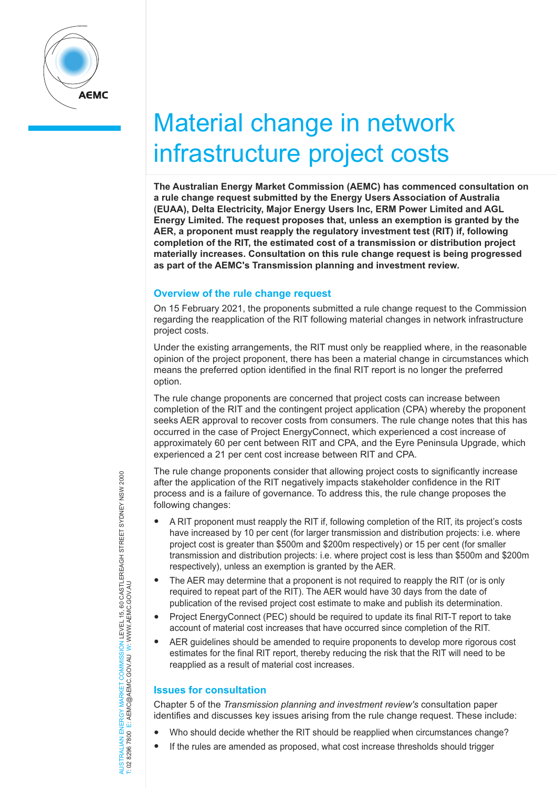

# Material change in network infrastructure project costs

**The Australian Energy Market Commission (AEMC) has commenced consultation on a rule change request submitted by the Energy Users Association of Australia (EUAA), Delta Electricity, Major Energy Users Inc, ERM Power Limited and AGL Energy Limited. The request proposes that, unless an exemption is granted by the AER, a proponent must reapply the regulatory investment test (RIT) if, following completion of the RIT, the estimated cost of a transmission or distribution project materially increases. Consultation on this rule change request is being progressed as part of the AEMC's Transmission planning and investment review***.* 

## **Overview of the rule change request**

On 15 February 2021, the proponents submitted a rule change request to the Commission regarding the reapplication of the RIT following material changes in network infrastructure project costs.

Under the existing arrangements, the RIT must only be reapplied where, in the reasonable opinion of the project proponent, there has been a material change in circumstances which means the preferred option identified in the final RIT report is no longer the preferred option.

The rule change proponents are concerned that project costs can increase between completion of the RIT and the contingent project application (CPA) whereby the proponent seeks AER approval to recover costs from consumers. The rule change notes that this has occurred in the case of Project EnergyConnect, which experienced a cost increase of approximately 60 per cent between RIT and CPA, and the Eyre Peninsula Upgrade, which experienced a 21 per cent cost increase between RIT and CPA.

The rule change proponents consider that allowing project costs to significantly increase after the application of the RIT negatively impacts stakeholder confidence in the RIT process and is a failure of governance. To address this, the rule change proposes the following changes:

- A RIT proponent must reapply the RIT if, following completion of the RIT, its project's costs have increased by 10 per cent (for larger transmission and distribution projects: i.e. where project cost is greater than \$500m and \$200m respectively) or 15 per cent (for smaller transmission and distribution projects: i.e. where project cost is less than \$500m and \$200m respectively), unless an exemption is granted by the AER.
- The AER may determine that a proponent is not required to reapply the RIT (or is only required to repeat part of the RIT). The AER would have 30 days from the date of publication of the revised project cost estimate to make and publish its determination.
- Project EnergyConnect (PEC) should be required to update its final RIT-T report to take account of material cost increases that have occurred since completion of the RIT.
- AER guidelines should be amended to require proponents to develop more rigorous cost estimates for the final RIT report, thereby reducing the risk that the RIT will need to be reapplied as a result of material cost increases.

## **Issues for consultation**

Chapter 5 of the *Transmission planning and investment review's* consultation paper identifies and discusses key issues arising from the rule change request. These include:

- Who should decide whether the RIT should be reapplied when circumstances change?
- If the rules are amended as proposed, what cost increase thresholds should trigger

NERGY MARKET COMMISSION LEVEL 15, 60 CASTLEREAGH STREET SYDNEY NSW 2000<br>E: AEMC@AEMC.GOV.AU W: WWW.AEMC.GOV.AU AUSTRALIAN ENERGY MARKET COMMISSION LEVEL 15, 60 CASTLEREAGH STREET SYDNEY NSW 2000 T: 02 8296 7800 E: AEMC@AEMC.GOV.AU W: WWW.AEMC.GOV.AU AUSTRALIAN ENERGY MARKET T: 02 8296 7800